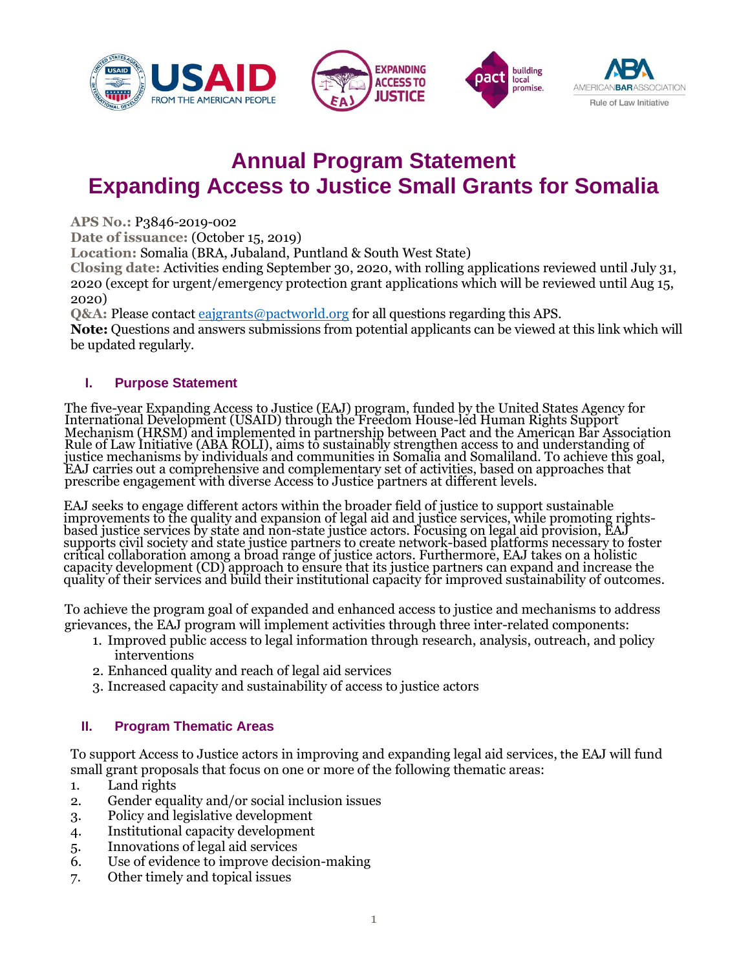





# **Annual Program Statement Expanding Access to Justice Small Grants for Somalia**

**APS No.:** P3846-2019-002

**Date of issuance:** (October 15, 2019)

**Location:** Somalia (BRA, Jubaland, Puntland & South West State)

**Closing date:** Activities ending September 30, 2020, with rolling applications reviewed until July 31, 2020 (except for urgent/emergency protection grant applications which will be reviewed until Aug 15, 2020)

**Q&A:** Please contact [eajgrants@pactworld.org](mailto:eajgrants@pactworld.org) for all questions regarding this APS.

**Note:** Questions and answers submissions from potential applicants can be viewed at this link which will be updated regularly.

## **I. Purpose Statement**

The five-year Expanding Access to Justice (EAJ) program, funded by the United States Agency for International Development (USAID) through the Freedom House-led Human Rights Support Mechanism (HRSM) and implemented in partnership between Pact and the American Bar Association Rule of Law Initiative (ABA ROLI), aims to sustainably strengthen access to and understanding of justice mechanisms by individuals and communities in Somalia and Somaliland. To achieve this goal, EAJ carries out a comprehensive and complementary set of activities, based on approaches that prescribe engagement with diverse Access to Justice partners at different levels.

EAJ seeks to engage different actors within the broader field of justice to support sustainable improvements to the quality and expansion of legal aid and justice services, while promoting rightsbased justice services by state and non-state justice actors. Focusing on legal aid provision, EAJ supports civil society and state justice partners to create network-based platforms necessary to foster critical collaboration among a broad range of justice actors. Furthermore, EAJ takes on a holistic capacity development (CD) approach to ensure that its justice partners can expand and increase the quality of their services and build their institutional capacity for improved sustainability of outcomes.

To achieve the program goal of expanded and enhanced access to justice and mechanisms to address grievances, the EAJ program will implement activities through three inter-related components:

- 1. Improved public access to legal information through research, analysis, outreach, and policy interventions
- 2. Enhanced quality and reach of legal aid services
- 3. Increased capacity and sustainability of access to justice actors

# **II. Program Thematic Areas**

To support Access to Justice actors in improving and expanding legal aid services, the EAJ will fund small grant proposals that focus on one or more of the following thematic areas:

- 1. Land rights
- 2. Gender equality and/or social inclusion issues
- 3. Policy and legislative development
- 4. Institutional capacity development
- 5. Innovations of legal aid services
- 6. Use of evidence to improve decision-making
- 7. Other timely and topical issues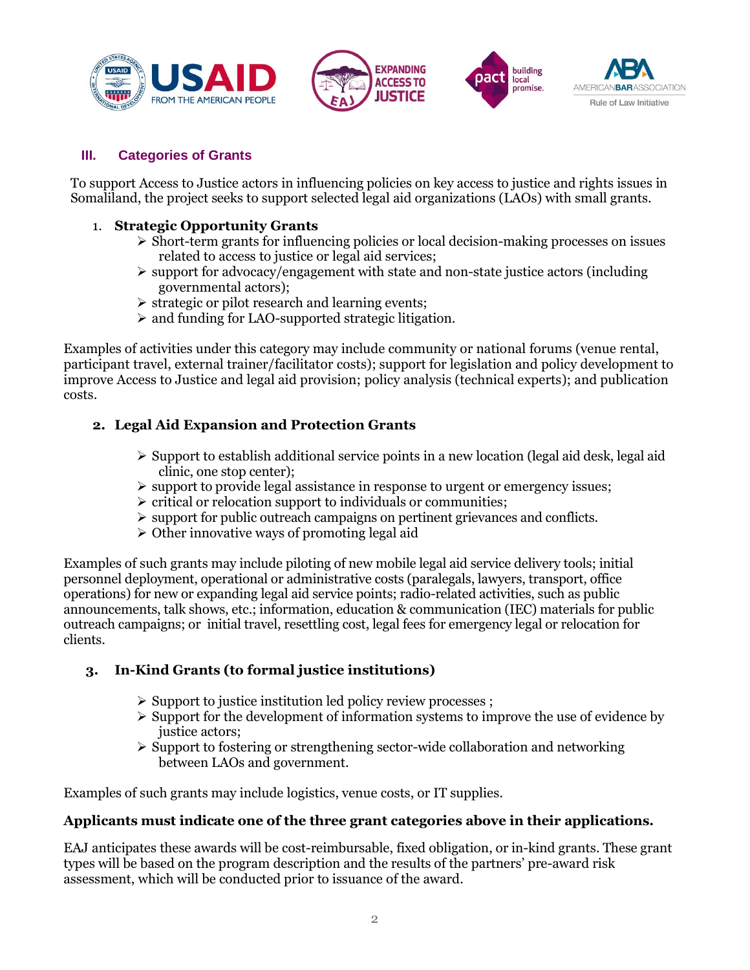





#### **III. Categories of Grants**

To support Access to Justice actors in influencing policies on key access to justice and rights issues in Somaliland, the project seeks to support selected legal aid organizations (LAOs) with small grants.

#### 1. **Strategic Opportunity Grants**

- ➢ Short-term grants for influencing policies or local decision-making processes on issues related to access to justice or legal aid services;
- ➢ support for advocacy/engagement with state and non-state justice actors (including governmental actors);
- ➢ strategic or pilot research and learning events;
- ➢ and funding for LAO-supported strategic litigation.

Examples of activities under this category may include community or national forums (venue rental, participant travel, external trainer/facilitator costs); support for legislation and policy development to improve Access to Justice and legal aid provision; policy analysis (technical experts); and publication costs.

## **2. Legal Aid Expansion and Protection Grants**

- $\triangleright$  Support to establish additional service points in a new location (legal aid desk, legal aid clinic, one stop center);
- $\triangleright$  support to provide legal assistance in response to urgent or emergency issues;
- ➢ critical or relocation support to individuals or communities;
- $\triangleright$  support for public outreach campaigns on pertinent grievances and conflicts.
- ➢ Other innovative ways of promoting legal aid

Examples of such grants may include piloting of new mobile legal aid service delivery tools; initial personnel deployment, operational or administrative costs (paralegals, lawyers, transport, office operations) for new or expanding legal aid service points; radio-related activities, such as public announcements, talk shows, etc.; information, education & communication (IEC) materials for public outreach campaigns; or initial travel, resettling cost, legal fees for emergency legal or relocation for clients.

## **3. In-Kind Grants (to formal justice institutions)**

- ➢ Support to justice institution led policy review processes ;
- $\triangleright$  Support for the development of information systems to improve the use of evidence by justice actors;
- ➢ Support to fostering or strengthening sector-wide collaboration and networking between LAOs and government.

Examples of such grants may include logistics, venue costs, or IT supplies.

#### **Applicants must indicate one of the three grant categories above in their applications.**

EAJ anticipates these awards will be cost-reimbursable, fixed obligation, or in-kind grants. These grant types will be based on the program description and the results of the partners' pre-award risk assessment, which will be conducted prior to issuance of the award.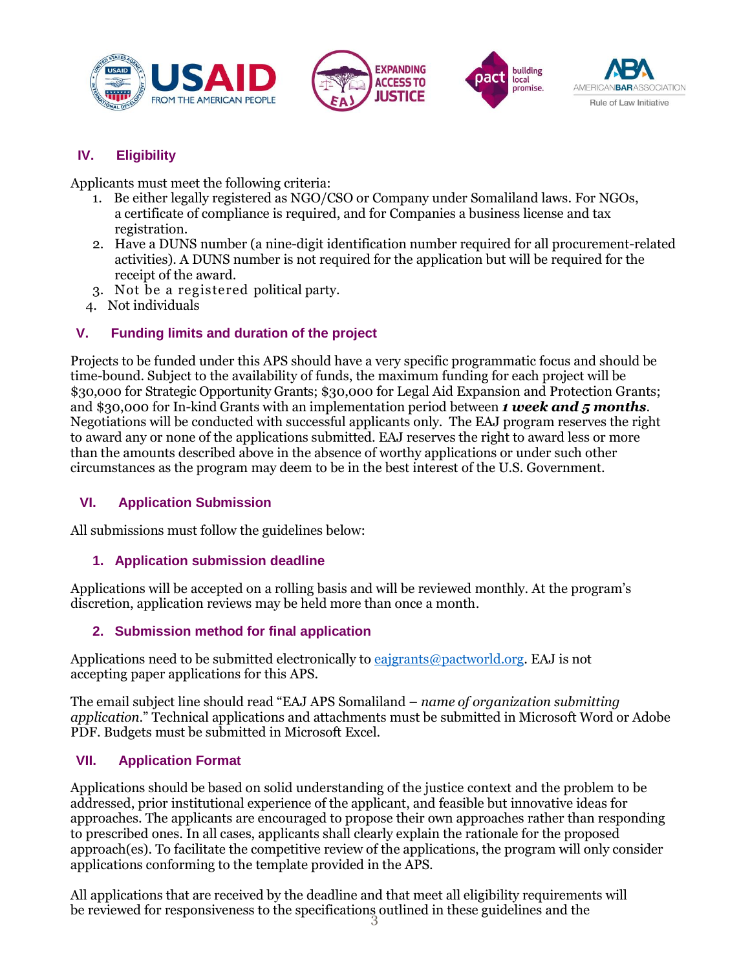







# **IV. Eligibility**

Applicants must meet the following criteria:

- 1. Be either legally registered as NGO/CSO or Company under Somaliland laws. For NGOs, a certificate of compliance is required, and for Companies a business license and tax registration.
- 2. Have a DUNS number (a nine-digit identification number required for all procurement-related activities). A DUNS number is not required for the application but will be required for the receipt of the award.
- 3. Not be a registered political party.
- 4. Not individuals

## **V. Funding limits and duration of the project**

Projects to be funded under this APS should have a very specific programmatic focus and should be time-bound. Subject to the availability of funds, the maximum funding for each project will be \$30,000 for Strategic Opportunity Grants; \$30,000 for Legal Aid Expansion and Protection Grants; and \$30,000 for In-kind Grants with an implementation period between *1 week and 5 months*. Negotiations will be conducted with successful applicants only. The EAJ program reserves the right to award any or none of the applications submitted. EAJ reserves the right to award less or more than the amounts described above in the absence of worthy applications or under such other circumstances as the program may deem to be in the best interest of the U.S. Government.

#### **VI. Application Submission**

All submissions must follow the guidelines below:

## **1. Application submission deadline**

Applications will be accepted on a rolling basis and will be reviewed monthly. At the program's discretion, application reviews may be held more than once a month.

## **2. Submission method for final application**

Applications need to be submitted electronically to [eajgrants@pactworld.org](mailto:eajgrants@pactworld.org)[.](mailto:DDAgrants@pactworld.org) EAJ is not accepting paper applications for this APS.

The email subject line should read "EAJ APS Somaliland – *name of organization submitting application*." Technical applications and attachments must be submitted in Microsoft Word or Adobe PDF. Budgets must be submitted in Microsoft Excel.

## **VII. Application Format**

Applications should be based on solid understanding of the justice context and the problem to be addressed, prior institutional experience of the applicant, and feasible but innovative ideas for approaches. The applicants are encouraged to propose their own approaches rather than responding to prescribed ones. In all cases, applicants shall clearly explain the rationale for the proposed approach(es). To facilitate the competitive review of the applications, the program will only consider applications conforming to the template provided in the APS.

be reviewed for responsiveness to the specifications outlined in these guidelines and the  $\frac{3}{3}$ All applications that are received by the deadline and that meet all eligibility requirements will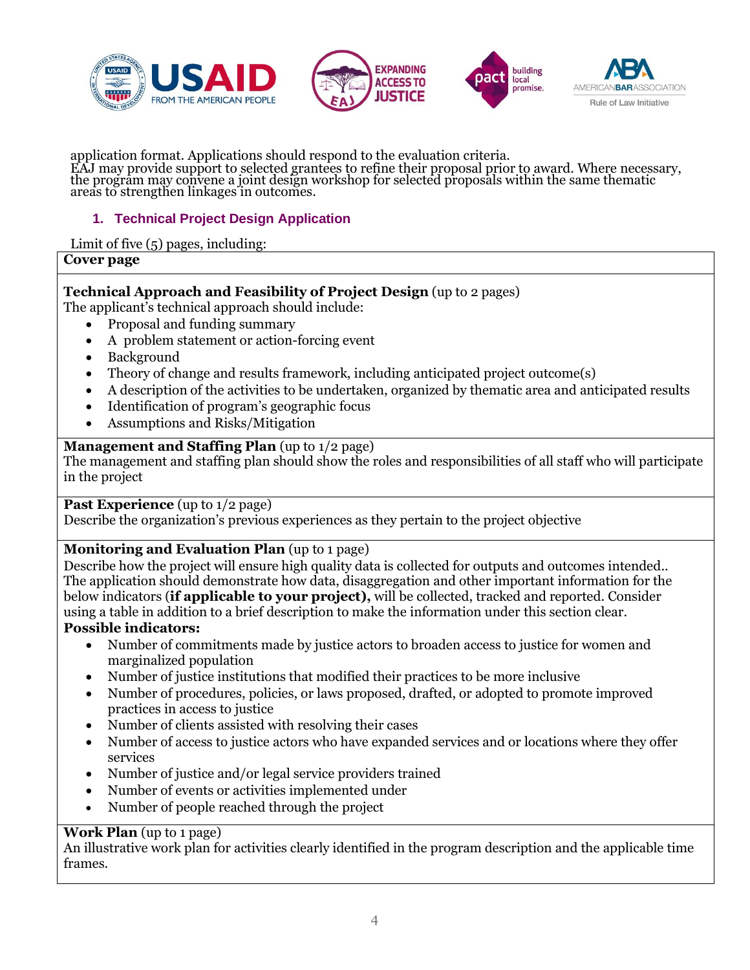





application format. Applications should respond to the evaluation criteria. EAJ may provide support to selected grantees to refine their proposal prior to award. Where necessary, the program may convene a joint design workshop for selected proposals within the same thematic areas to strengthen linkages in outcomes.

#### **1. Technical Project Design Application**

#### Limit of five (5) pages, including:

**Cover page**

#### **Technical Approach and Feasibility of Project Design** (up to 2 pages)

The applicant's technical approach should include:

- Proposal and funding summary
- A problem statement or action-forcing event
- Background
- Theory of change and results framework, including anticipated project outcome(s)
- A description of the activities to be undertaken, organized by thematic area and anticipated results
- Identification of program's geographic focus
- Assumptions and Risks/Mitigation

#### **Management and Staffing Plan** (up to 1/2 page)

The management and staffing plan should show the roles and responsibilities of all staff who will participate in the project

**Past Experience** (up to 1/2 page)

Describe the organization's previous experiences as they pertain to the project objective

## **Monitoring and Evaluation Plan** (up to 1 page)

Describe how the project will ensure high quality data is collected for outputs and outcomes intended.. The application should demonstrate how data, disaggregation and other important information for the below indicators (**if applicable to your project),** will be collected, tracked and reported. Consider using a table in addition to a brief description to make the information under this section clear. **Possible indicators:**

- Number of commitments made by justice actors to broaden access to justice for women and marginalized population
- Number of justice institutions that modified their practices to be more inclusive
- Number of procedures, policies, or laws proposed, drafted, or adopted to promote improved practices in access to justice
- Number of clients assisted with resolving their cases
- Number of access to justice actors who have expanded services and or locations where they offer services
- Number of justice and/or legal service providers trained
- Number of events or activities implemented under
- Number of people reached through the project

#### **Work Plan** (up to 1 page)

An illustrative work plan for activities clearly identified in the program description and the applicable time frames.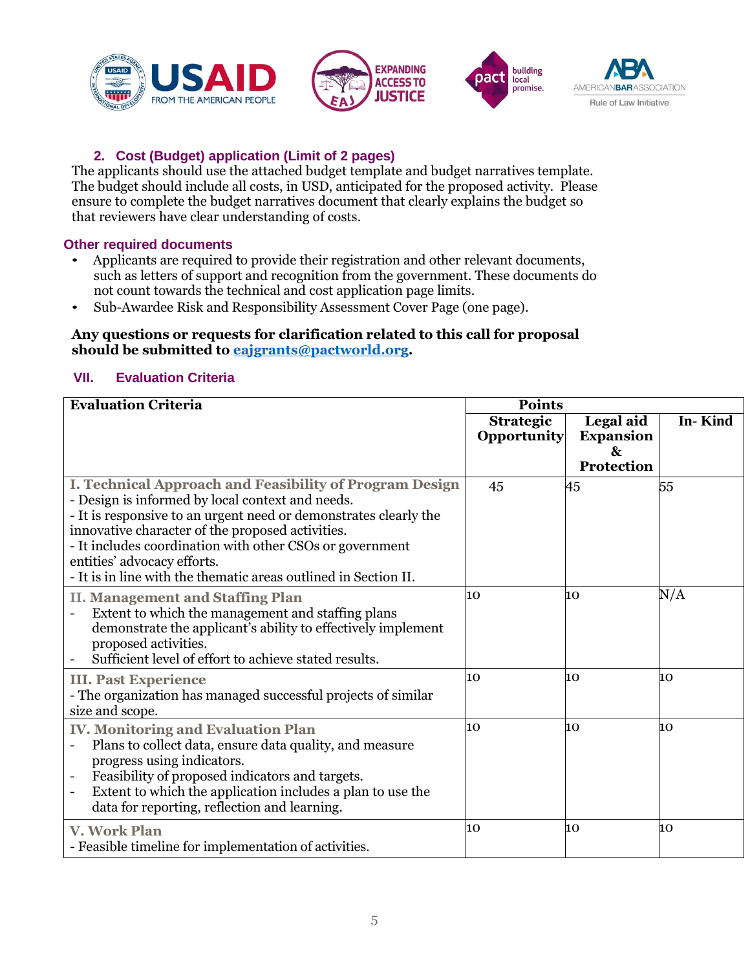







## **2. Cost (Budget) application (Limit of 2 pages)**

The applicants should use the attached budget template and budget narratives template. The budget should include all costs, in USD, anticipated for the proposed activity. Please ensure to complete the budget narratives document that clearly explains the budget so that reviewers have clear understanding of costs.

#### **Other required documents**

- Applicants are required to provide their registration and other relevant documents, such as letters of support and recognition from the government. These documents do not count towards the technical and cost application page limits.
- Sub-Awardee Risk and Responsibility Assessment Cover Page (one page).

#### **Any questions or requests for clarification related to this call for proposal should be submitted to [eajgrants@pactworld.org.](mailto:eajgrants@pactworld.org)**

#### **VII. Evaluation Criteria**

| <b>Evaluation Criteria</b>                                                                                                                                                                                                                                                                                                                                                                        | <b>Points</b>    |                       |           |
|---------------------------------------------------------------------------------------------------------------------------------------------------------------------------------------------------------------------------------------------------------------------------------------------------------------------------------------------------------------------------------------------------|------------------|-----------------------|-----------|
|                                                                                                                                                                                                                                                                                                                                                                                                   | <b>Strategic</b> | Legal aid             | In-Kind   |
|                                                                                                                                                                                                                                                                                                                                                                                                   | Opportunity      | <b>Expansion</b><br>& |           |
|                                                                                                                                                                                                                                                                                                                                                                                                   |                  | Protection            |           |
| I. Technical Approach and Feasibility of Program Design<br>- Design is informed by local context and needs.<br>- It is responsive to an urgent need or demonstrates clearly the<br>innovative character of the proposed activities.<br>- It includes coordination with other CSOs or government<br>entities' advocacy efforts.<br>- It is in line with the thematic areas outlined in Section II. | 45               | 45                    | 55        |
| <b>II. Management and Staffing Plan</b><br>Extent to which the management and staffing plans<br>demonstrate the applicant's ability to effectively implement<br>proposed activities.<br>Sufficient level of effort to achieve stated results.                                                                                                                                                     | 10               | 10                    | $\rm N/A$ |
| <b>III. Past Experience</b><br>- The organization has managed successful projects of similar<br>size and scope.                                                                                                                                                                                                                                                                                   | 10               | 10                    | 10        |
| <b>IV. Monitoring and Evaluation Plan</b><br>Plans to collect data, ensure data quality, and measure<br>progress using indicators.<br>Feasibility of proposed indicators and targets.<br>Extent to which the application includes a plan to use the<br>$\overline{\phantom{a}}$<br>data for reporting, reflection and learning.                                                                   | 10               | 10                    | 10        |
| <b>V. Work Plan</b><br>- Feasible timeline for implementation of activities.                                                                                                                                                                                                                                                                                                                      | 10               | 10                    | 10        |